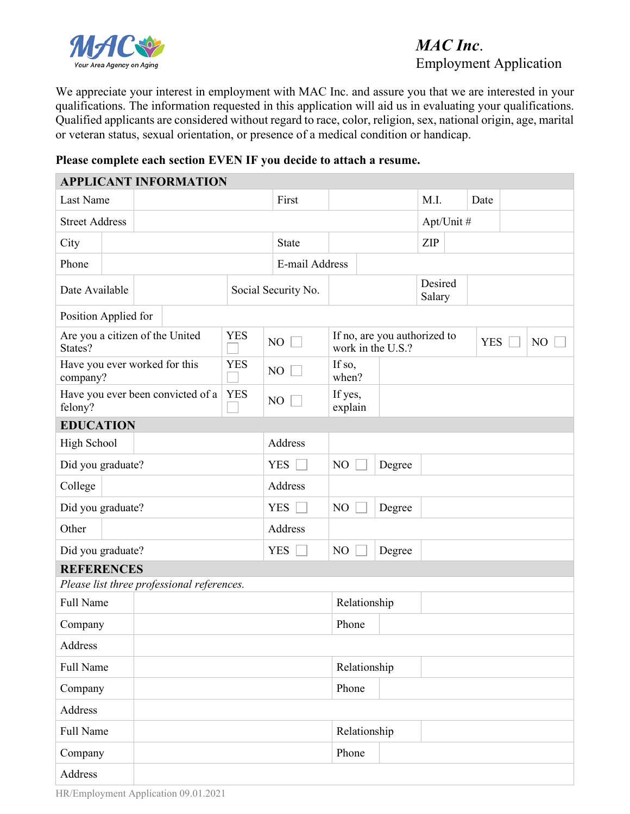

## *MAC Inc*. Employment Application

We appreciate your interest in employment with MAC Inc. and assure you that we are interested in your qualifications. The information requested in this application will aid us in evaluating your qualifications. Qualified applicants are considered without regard to race, color, religion, sex, national origin, age, marital or veteran status, sexual orientation, or presence of a medical condition or handicap.

## **Please complete each section EVEN IF you decide to attach a resume.**

|                                            |  | <b>APPLICANT INFORMATION</b>               |              |                     |                                                   |                   |      |            |  |    |
|--------------------------------------------|--|--------------------------------------------|--------------|---------------------|---------------------------------------------------|-------------------|------|------------|--|----|
| Last Name                                  |  |                                            |              | First               |                                                   |                   | M.I. | Date       |  |    |
| <b>Street Address</b>                      |  |                                            |              | Apt/Unit #          |                                                   |                   |      |            |  |    |
| City                                       |  |                                            | <b>State</b> |                     |                                                   | <b>ZIP</b>        |      |            |  |    |
| Phone                                      |  |                                            |              | E-mail Address      |                                                   |                   |      |            |  |    |
| Date Available                             |  |                                            |              | Social Security No. |                                                   | Desired<br>Salary |      |            |  |    |
| Position Applied for                       |  |                                            |              |                     |                                                   |                   |      |            |  |    |
| Are you a citizen of the United<br>States? |  |                                            | <b>YES</b>   | NO                  | If no, are you authorized to<br>work in the U.S.? |                   |      | <b>YES</b> |  | NO |
| Have you ever worked for this<br>company?  |  |                                            | <b>YES</b>   | NO                  | If so,<br>when?                                   |                   |      |            |  |    |
| felony?                                    |  | Have you ever been convicted of a          | <b>YES</b>   | NO                  | If yes,<br>explain                                |                   |      |            |  |    |
| <b>EDUCATION</b>                           |  |                                            |              |                     |                                                   |                   |      |            |  |    |
| High School                                |  |                                            |              | Address             |                                                   |                   |      |            |  |    |
| Did you graduate?                          |  |                                            |              | <b>YES</b>          | NO                                                | Degree            |      |            |  |    |
| College                                    |  |                                            |              | Address             |                                                   |                   |      |            |  |    |
| Did you graduate?                          |  |                                            |              | <b>YES</b>          | NO                                                | Degree            |      |            |  |    |
| Other                                      |  |                                            | Address      |                     |                                                   |                   |      |            |  |    |
| Did you graduate?                          |  |                                            |              | <b>YES</b>          | NO                                                | Degree            |      |            |  |    |
| <b>REFERENCES</b>                          |  |                                            |              |                     |                                                   |                   |      |            |  |    |
|                                            |  | Please list three professional references. |              |                     |                                                   |                   |      |            |  |    |
| Full Name                                  |  |                                            |              | Relationship        |                                                   |                   |      |            |  |    |
| Company                                    |  |                                            |              | Phone               |                                                   |                   |      |            |  |    |
| Address                                    |  |                                            |              |                     |                                                   |                   |      |            |  |    |
| Full Name                                  |  |                                            |              | Relationship        |                                                   |                   |      |            |  |    |
| Company                                    |  |                                            |              |                     | Phone                                             |                   |      |            |  |    |
| Address                                    |  |                                            |              |                     |                                                   |                   |      |            |  |    |
| Full Name                                  |  |                                            |              |                     | Relationship                                      |                   |      |            |  |    |
| Company                                    |  |                                            |              |                     | Phone                                             |                   |      |            |  |    |
| Address                                    |  |                                            |              |                     |                                                   |                   |      |            |  |    |

HR/Employment Application 09.01.2021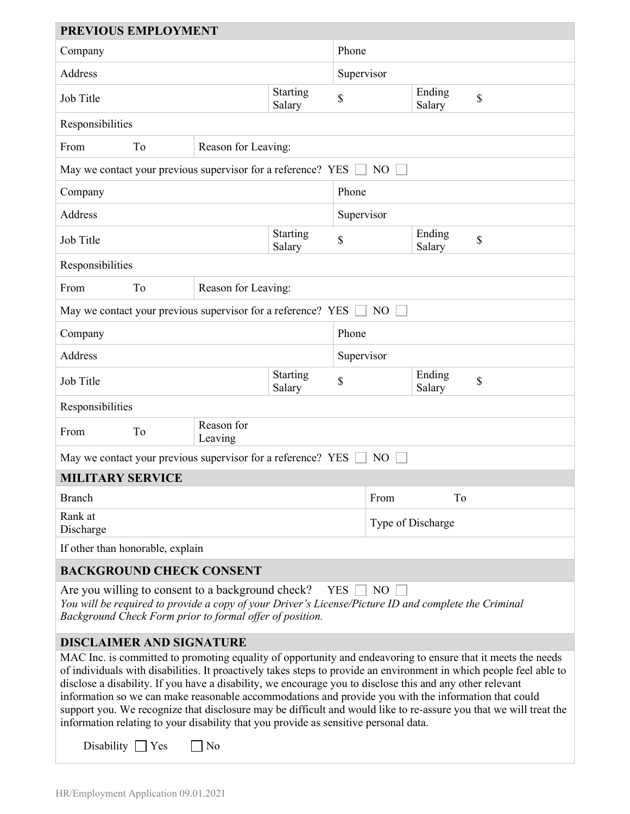| PREVIOUS EMPLOYMENT                                                                                                                                                                                                                                                                                                                                                                                                                                                                                                                                                                                                                                                   |                           |                       |       |                  |                   |    |  |  |  |
|-----------------------------------------------------------------------------------------------------------------------------------------------------------------------------------------------------------------------------------------------------------------------------------------------------------------------------------------------------------------------------------------------------------------------------------------------------------------------------------------------------------------------------------------------------------------------------------------------------------------------------------------------------------------------|---------------------------|-----------------------|-------|------------------|-------------------|----|--|--|--|
| Company                                                                                                                                                                                                                                                                                                                                                                                                                                                                                                                                                                                                                                                               |                           |                       | Phone |                  |                   |    |  |  |  |
| Address                                                                                                                                                                                                                                                                                                                                                                                                                                                                                                                                                                                                                                                               |                           |                       |       |                  | Supervisor        |    |  |  |  |
| Job Title                                                                                                                                                                                                                                                                                                                                                                                                                                                                                                                                                                                                                                                             | Starting<br>Salary        | \$                    |       | Ending<br>Salary | \$                |    |  |  |  |
| Responsibilities                                                                                                                                                                                                                                                                                                                                                                                                                                                                                                                                                                                                                                                      |                           |                       |       |                  |                   |    |  |  |  |
| From                                                                                                                                                                                                                                                                                                                                                                                                                                                                                                                                                                                                                                                                  | To<br>Reason for Leaving: |                       |       |                  |                   |    |  |  |  |
| May we contact your previous supervisor for a reference? YES<br>N <sub>O</sub>                                                                                                                                                                                                                                                                                                                                                                                                                                                                                                                                                                                        |                           |                       |       |                  |                   |    |  |  |  |
| Phone<br>Company                                                                                                                                                                                                                                                                                                                                                                                                                                                                                                                                                                                                                                                      |                           |                       |       |                  |                   |    |  |  |  |
| Address                                                                                                                                                                                                                                                                                                                                                                                                                                                                                                                                                                                                                                                               |                           |                       |       |                  | Supervisor        |    |  |  |  |
| Job Title                                                                                                                                                                                                                                                                                                                                                                                                                                                                                                                                                                                                                                                             | Starting<br>Salary        | \$                    |       | Ending<br>Salary | \$                |    |  |  |  |
| Responsibilities                                                                                                                                                                                                                                                                                                                                                                                                                                                                                                                                                                                                                                                      |                           |                       |       |                  |                   |    |  |  |  |
| From                                                                                                                                                                                                                                                                                                                                                                                                                                                                                                                                                                                                                                                                  | Reason for Leaving:<br>To |                       |       |                  |                   |    |  |  |  |
| May we contact your previous supervisor for a reference? YES<br>NO                                                                                                                                                                                                                                                                                                                                                                                                                                                                                                                                                                                                    |                           |                       |       |                  |                   |    |  |  |  |
| Company                                                                                                                                                                                                                                                                                                                                                                                                                                                                                                                                                                                                                                                               |                           |                       |       |                  | Phone             |    |  |  |  |
| Address                                                                                                                                                                                                                                                                                                                                                                                                                                                                                                                                                                                                                                                               |                           |                       |       |                  | Supervisor        |    |  |  |  |
| Job Title                                                                                                                                                                                                                                                                                                                                                                                                                                                                                                                                                                                                                                                             | Starting<br>Salary        | \$                    |       | Ending<br>Salary | \$                |    |  |  |  |
| Responsibilities                                                                                                                                                                                                                                                                                                                                                                                                                                                                                                                                                                                                                                                      |                           |                       |       |                  |                   |    |  |  |  |
| From                                                                                                                                                                                                                                                                                                                                                                                                                                                                                                                                                                                                                                                                  | To                        | Reason for<br>Leaving |       |                  |                   |    |  |  |  |
| May we contact your previous supervisor for a reference? YES<br>N <sub>O</sub>                                                                                                                                                                                                                                                                                                                                                                                                                                                                                                                                                                                        |                           |                       |       |                  |                   |    |  |  |  |
| <b>MILITARY SERVICE</b>                                                                                                                                                                                                                                                                                                                                                                                                                                                                                                                                                                                                                                               |                           |                       |       |                  |                   |    |  |  |  |
| <b>Branch</b>                                                                                                                                                                                                                                                                                                                                                                                                                                                                                                                                                                                                                                                         |                           |                       |       |                  | From              | To |  |  |  |
| Rank at<br>Discharge                                                                                                                                                                                                                                                                                                                                                                                                                                                                                                                                                                                                                                                  |                           |                       |       |                  | Type of Discharge |    |  |  |  |
| If other than honorable, explain                                                                                                                                                                                                                                                                                                                                                                                                                                                                                                                                                                                                                                      |                           |                       |       |                  |                   |    |  |  |  |
| <b>BACKGROUND CHECK CONSENT</b>                                                                                                                                                                                                                                                                                                                                                                                                                                                                                                                                                                                                                                       |                           |                       |       |                  |                   |    |  |  |  |
| Are you willing to consent to a background check?<br>N <sub>O</sub><br><b>YES</b><br>You will be required to provide a copy of your Driver's License/Picture ID and complete the Criminal<br>Background Check Form prior to formal offer of position.                                                                                                                                                                                                                                                                                                                                                                                                                 |                           |                       |       |                  |                   |    |  |  |  |
| <b>DISCLAIMER AND SIGNATURE</b>                                                                                                                                                                                                                                                                                                                                                                                                                                                                                                                                                                                                                                       |                           |                       |       |                  |                   |    |  |  |  |
| MAC Inc. is committed to promoting equality of opportunity and endeavoring to ensure that it meets the needs<br>of individuals with disabilities. It proactively takes steps to provide an environment in which people feel able to<br>disclose a disability. If you have a disability, we encourage you to disclose this and any other relevant<br>information so we can make reasonable accommodations and provide you with the information that could<br>support you. We recognize that disclosure may be difficult and would like to re-assure you that we will treat the<br>information relating to your disability that you provide as sensitive personal data. |                           |                       |       |                  |                   |    |  |  |  |
| Disability $\Box$ Yes                                                                                                                                                                                                                                                                                                                                                                                                                                                                                                                                                                                                                                                 |                           | No                    |       |                  |                   |    |  |  |  |